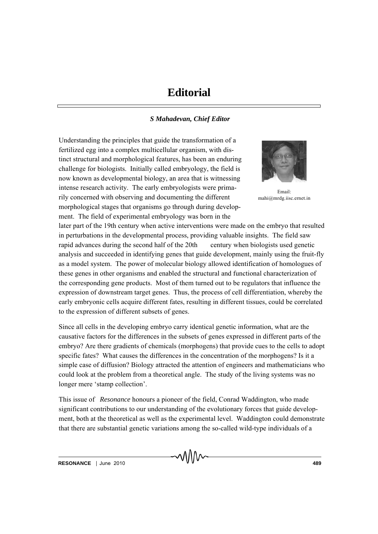## **Editorial**

## *S Mahadevan, Chief Editor*

Understanding the principles that guide the transformation of a fertilized egg into a complex multicellular organism, with distinct structural and morphological features, has been an enduring challenge for biologists. Initially called embryology, the field is now known as developmental biology, an area that is witnessing intense research activity. The early embryologists were primarily concerned with observing and documenting the different morphological stages that organisms go through during development. The field of experimental embryology was born in the



Email: mahi@mrdg.iisc.ernet.in

later part of the 19th century when active interventions were made on the embryo that resulted in perturbations in the developmental process, providing valuable insights. The field saw rapid advances during the second half of the 20th century when biologists used genetic analysis and succeeded in identifying genes that guide development, mainly using the fruit-fly as a model system. The power of molecular biology allowed identification of homologues of these genes in other organisms and enabled the structural and functional characterization of the corresponding gene products. Most of them turned out to be regulators that influence the expression of downstream target genes. Thus, the process of cell differentiation, whereby the early embryonic cells acquire different fates, resulting in different tissues, could be correlated to the expression of different subsets of genes.

Since all cells in the developing embryo carry identical genetic information, what are the causative factors for the differences in the subsets of genes expressed in different parts of the embryo? Are there gradients of chemicals (morphogens) that provide cues to the cells to adopt specific fates? What causes the differences in the concentration of the morphogens? Is it a simple case of diffusion? Biology attracted the attention of engineers and mathematicians who could look at the problem from a theoretical angle. The study of the living systems was no longer mere 'stamp collection'.

This issue of *Resonance* honours a pioneer of the field, Conrad Waddington, who made significant contributions to our understanding of the evolutionary forces that guide development, both at the theoretical as well as the experimental level. Waddington could demonstrate that there are substantial genetic variations among the so-called wild-type individuals of a